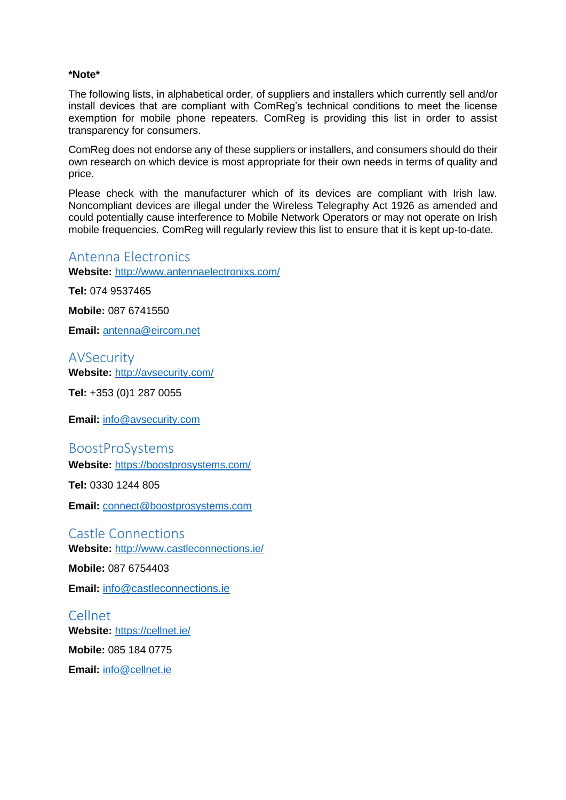#### **\*Note\***

The following lists, in alphabetical order, of suppliers and installers which currently sell and/or install devices that are compliant with ComReg's technical conditions to meet the license exemption for mobile phone repeaters. ComReg is providing this list in order to assist transparency for consumers.

ComReg does not endorse any of these suppliers or installers, and consumers should do their own research on which device is most appropriate for their own needs in terms of quality and price.

Please check with the manufacturer which of its devices are compliant with Irish law. Noncompliant devices are illegal under the Wireless Telegraphy Act 1926 as amended and could potentially cause interference to Mobile Network Operators or may not operate on Irish mobile frequencies. ComReg will regularly review this list to ensure that it is kept up-to-date.

### Antenna Electronics

**Website:** <http://www.antennaelectronixs.com/>

**Tel:** 074 9537465

**Mobile:** 087 6741550

**Email:** [antenna@eircom.net](mailto:antenna@eircom.net)

AVSecurity **Website:** <http://avsecurity.com/>

**Tel:** +353 (0)1 287 0055

**Email:** [info@avsecurity.com](mailto:info@avsecurity.com)

BoostProSystems

**Website:** <https://boostprosystems.com/>

**Tel:** 0330 1244 805

**Email:** [connect@boostprosystems.com](mailto:connect@boostprosystems.com)

Castle Connections **Website:** <http://www.castleconnections.ie/>

**Mobile:** 087 6754403

**Email:** [info@castleconnections.ie](mailto:info@castleconnections.ie)

Cellnet **Website:** <https://cellnet.ie/> **Mobile:** 085 184 0775 **Email:** [info@cellnet.ie](mailto:info@cellnet.ie)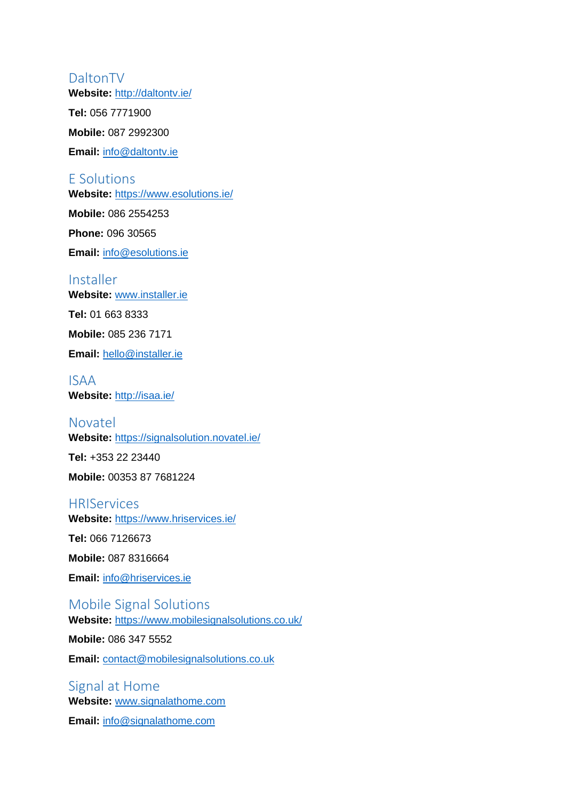## DaltonTV

**Website:** <http://daltontv.ie/>

**Tel:** 056 7771900

**Mobile:** 087 2992300

**Email:** [info@daltontv.ie](mailto:info@daltontv.ie)

### E Solutions

**Website:** <https://www.esolutions.ie/>

**Mobile:** 086 2554253

**Phone:** 096 30565

**Email:** [info@esolutions.ie](mailto:info@esolutions.ie)

### Installer

**Website:** [www.installer.ie](http://www.installer.ie/)

**Tel:** 01 663 8333

**Mobile:** 085 236 7171

**Email:** [hello@installer.ie](mailto:hello@installer.ie)

### ISAA **Website:** <http://isaa.ie/>

# Novatel **Website:** <https://signalsolution.novatel.ie/> **Tel:** +353 22 23440 **Mobile:** 00353 87 7681224

### **HRIServices**

**Website:** <https://www.hriservices.ie/>

**Tel:** 066 7126673

**Mobile:** 087 8316664

**Email:** [info@hriservices.ie](mailto:info@hriservices.ie)

# Mobile Signal Solutions

**Website:** <https://www.mobilesignalsolutions.co.uk/>

**Mobile:** 086 347 5552

**Email:** [contact@mobilesignalsolutions.co.uk](mailto:contact@mobilesignalsolutions.co.uk)

# Signal at Home **Website:** [www.signalathome.com](http://www.signalathome.com/)

**Email:** [info@signalathome.com](mailto:info@signalathome.com)